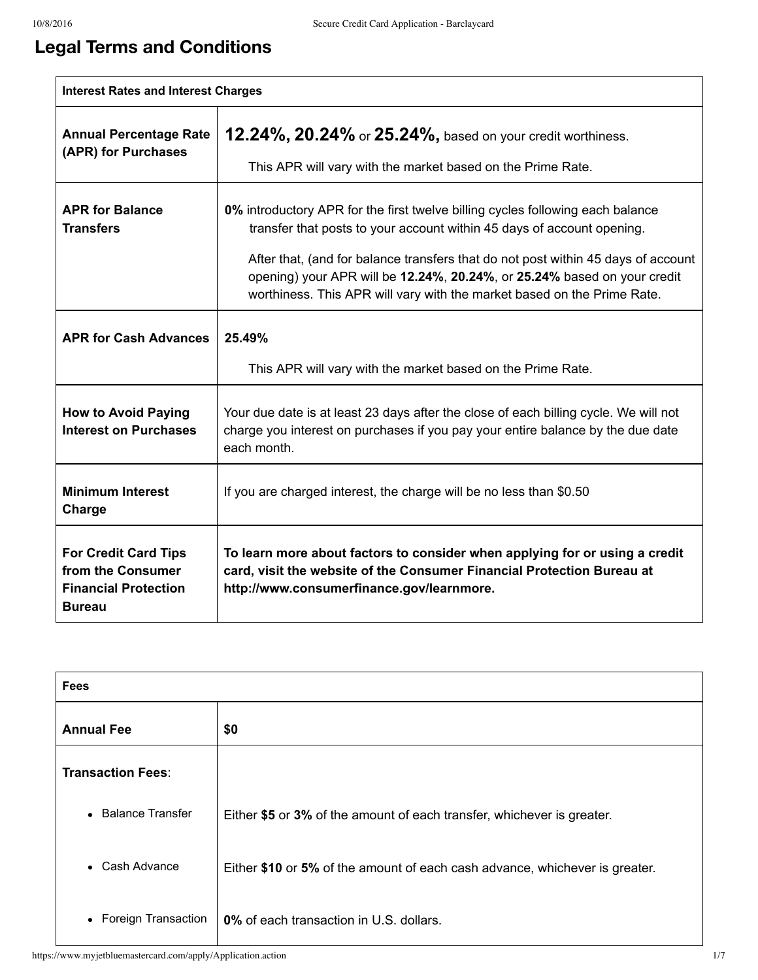# **Legal Terms and Conditions**

| <b>Interest Rates and Interest Charges</b>                                                       |                                                                                                                                                                                                                                                                                                                                                                                                      |
|--------------------------------------------------------------------------------------------------|------------------------------------------------------------------------------------------------------------------------------------------------------------------------------------------------------------------------------------------------------------------------------------------------------------------------------------------------------------------------------------------------------|
| <b>Annual Percentage Rate</b><br>(APR) for Purchases                                             | 12.24%, 20.24% or 25.24%, based on your credit worthiness.<br>This APR will vary with the market based on the Prime Rate.                                                                                                                                                                                                                                                                            |
| <b>APR for Balance</b><br><b>Transfers</b>                                                       | 0% introductory APR for the first twelve billing cycles following each balance<br>transfer that posts to your account within 45 days of account opening.<br>After that, (and for balance transfers that do not post within 45 days of account<br>opening) your APR will be 12.24%, 20.24%, or 25.24% based on your credit<br>worthiness. This APR will vary with the market based on the Prime Rate. |
| <b>APR for Cash Advances</b>                                                                     | 25.49%<br>This APR will vary with the market based on the Prime Rate.                                                                                                                                                                                                                                                                                                                                |
| <b>How to Avoid Paying</b><br><b>Interest on Purchases</b>                                       | Your due date is at least 23 days after the close of each billing cycle. We will not<br>charge you interest on purchases if you pay your entire balance by the due date<br>each month.                                                                                                                                                                                                               |
| <b>Minimum Interest</b><br>Charge                                                                | If you are charged interest, the charge will be no less than \$0.50                                                                                                                                                                                                                                                                                                                                  |
| <b>For Credit Card Tips</b><br>from the Consumer<br><b>Financial Protection</b><br><b>Bureau</b> | To learn more about factors to consider when applying for or using a credit<br>card, visit the website of the Consumer Financial Protection Bureau at<br>http://www.consumerfinance.gov/learnmore.                                                                                                                                                                                                   |

| <b>Fees</b>                |                                                                             |  |
|----------------------------|-----------------------------------------------------------------------------|--|
| <b>Annual Fee</b>          | \$0                                                                         |  |
| <b>Transaction Fees:</b>   |                                                                             |  |
| <b>Balance Transfer</b>    | Either \$5 or 3% of the amount of each transfer, whichever is greater.      |  |
| Cash Advance               | Either \$10 or 5% of the amount of each cash advance, whichever is greater. |  |
| <b>Foreign Transaction</b> | 0% of each transaction in U.S. dollars.                                     |  |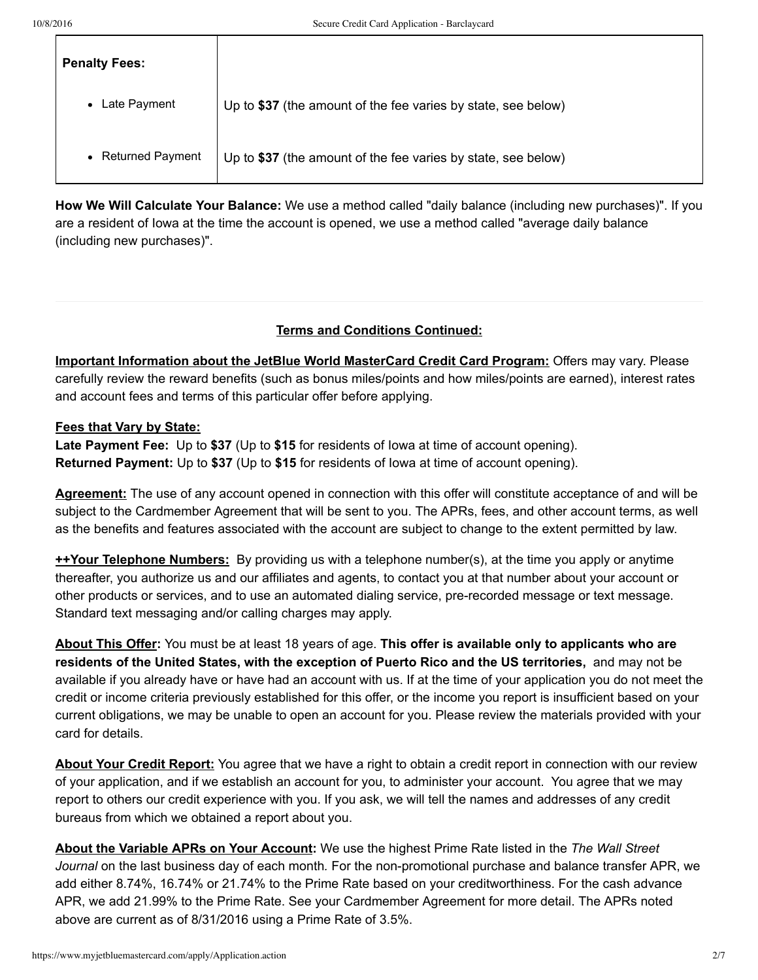| <b>Penalty Fees:</b>      |                                                               |
|---------------------------|---------------------------------------------------------------|
| Late Payment<br>$\bullet$ | Up to \$37 (the amount of the fee varies by state, see below) |
| • Returned Payment        | Up to \$37 (the amount of the fee varies by state, see below) |

**How We Will Calculate Your Balance:** We use a method called "daily balance (including new purchases)". If you are a resident of Iowa at the time the account is opened, we use a method called "average daily balance (including new purchases)".

# **Terms and Conditions Continued:**

**Important Information about the JetBlue World MasterCard Credit Card Program:** Offers may vary. Please carefully review the reward benefits (such as bonus miles/points and how miles/points are earned), interest rates and account fees and terms of this particular offer before applying.

# **Fees that Vary by State:**

**Late Payment Fee:** Up to **\$37** (Up to **\$15** for residents of Iowa at time of account opening). **Returned Payment:** Up to **\$37** (Up to **\$15** for residents of Iowa at time of account opening).

**Agreement:** The use of any account opened in connection with this offer will constitute acceptance of and will be subject to the Cardmember Agreement that will be sent to you. The APRs, fees, and other account terms, as well as the benefits and features associated with the account are subject to change to the extent permitted by law.

**++Your Telephone Numbers:** By providing us with a telephone number(s), at the time you apply or anytime thereafter, you authorize us and our affiliates and agents, to contact you at that number about your account or other products or services, and to use an automated dialing service, prerecorded message or text message. Standard text messaging and/or calling charges may apply.

**About This Offer:** You must be at least 18 years of age. **This offer is available only to applicants who are residents of the United States, with the exception of Puerto Rico and the US territories,** and may not be available if you already have or have had an account with us. If at the time of your application you do not meet the credit or income criteria previously established for this offer, or the income you report is insufficient based on your current obligations, we may be unable to open an account for you. Please review the materials provided with your card for details.

**About Your Credit Report:** You agree that we have a right to obtain a credit report in connection with our review of your application, and if we establish an account for you, to administer your account. You agree that we may report to others our credit experience with you. If you ask, we will tell the names and addresses of any credit bureaus from which we obtained a report about you.

**About the Variable APRs on Your Account:** We use the highest Prime Rate listed in the *The Wall Street Journal* on the last business day of each month. For the non-promotional purchase and balance transfer APR, we add either 8.74%, 16.74% or 21.74% to the Prime Rate based on your creditworthiness. For the cash advance APR, we add 21.99% to the Prime Rate. See your Cardmember Agreement for more detail. The APRs noted above are current as of 8/31/2016 using a Prime Rate of 3.5%.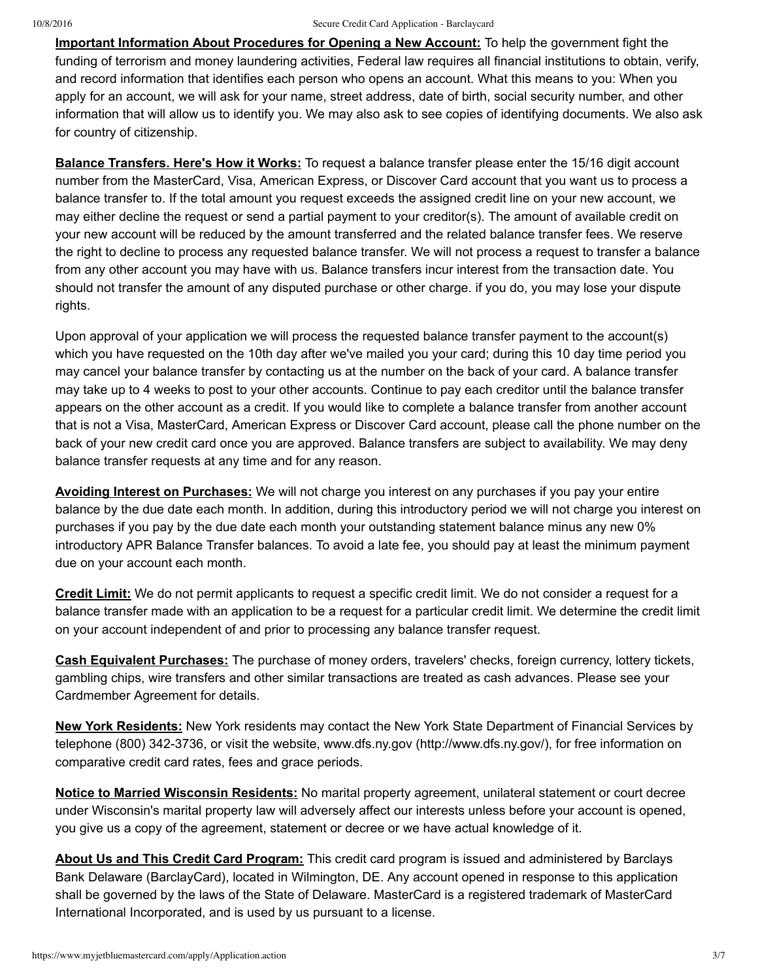**Important Information About Procedures for Opening a New Account:** To help the government fight the funding of terrorism and money laundering activities, Federal law requires all financial institutions to obtain, verify, and record information that identifies each person who opens an account. What this means to you: When you apply for an account, we will ask for your name, street address, date of birth, social security number, and other information that will allow us to identify you. We may also ask to see copies of identifying documents. We also ask for country of citizenship.

**Balance Transfers. Here's How it Works:** To request a balance transfer please enter the 15/16 digit account number from the MasterCard, Visa, American Express, or Discover Card account that you want us to process a balance transfer to. If the total amount you request exceeds the assigned credit line on your new account, we may either decline the request or send a partial payment to your creditor(s). The amount of available credit on your new account will be reduced by the amount transferred and the related balance transfer fees. We reserve the right to decline to process any requested balance transfer. We will not process a request to transfer a balance from any other account you may have with us. Balance transfers incur interest from the transaction date. You should not transfer the amount of any disputed purchase or other charge. if you do, you may lose your dispute rights.

Upon approval of your application we will process the requested balance transfer payment to the account(s) which you have requested on the 10th day after we've mailed you your card; during this 10 day time period you may cancel your balance transfer by contacting us at the number on the back of your card. A balance transfer may take up to 4 weeks to post to your other accounts. Continue to pay each creditor until the balance transfer appears on the other account as a credit. If you would like to complete a balance transfer from another account that is not a Visa, MasterCard, American Express or Discover Card account, please call the phone number on the back of your new credit card once you are approved. Balance transfers are subject to availability. We may deny balance transfer requests at any time and for any reason.

**Avoiding Interest on Purchases:** We will not charge you interest on any purchases if you pay your entire balance by the due date each month. In addition, during this introductory period we will not charge you interest on purchases if you pay by the due date each month your outstanding statement balance minus any new 0% introductory APR Balance Transfer balances. To avoid a late fee, you should pay at least the minimum payment due on your account each month.

**Credit Limit:** We do not permit applicants to request a specific credit limit. We do not consider a request for a balance transfer made with an application to be a request for a particular credit limit. We determine the credit limit on your account independent of and prior to processing any balance transfer request.

**Cash Equivalent Purchases:** The purchase of money orders, travelers' checks, foreign currency, lottery tickets, gambling chips, wire transfers and other similar transactions are treated as cash advances. Please see your Cardmember Agreement for details.

**New York Residents:** New York residents may contact the New York State Department of Financial Services by telephone (800) 3423736, or visit the website, www.dfs.ny.gov [\(http://www.dfs.ny.gov/\)](http://www.dfs.ny.gov/), for free information on comparative credit card rates, fees and grace periods.

**Notice to Married Wisconsin Residents:** No marital property agreement, unilateral statement or court decree under Wisconsin's marital property law will adversely affect our interests unless before your account is opened, you give us a copy of the agreement, statement or decree or we have actual knowledge of it.

**About Us and This Credit Card Program:** This credit card program is issued and administered by Barclays Bank Delaware (BarclayCard), located in Wilmington, DE. Any account opened in response to this application shall be governed by the laws of the State of Delaware. MasterCard is a registered trademark of MasterCard International Incorporated, and is used by us pursuant to a license.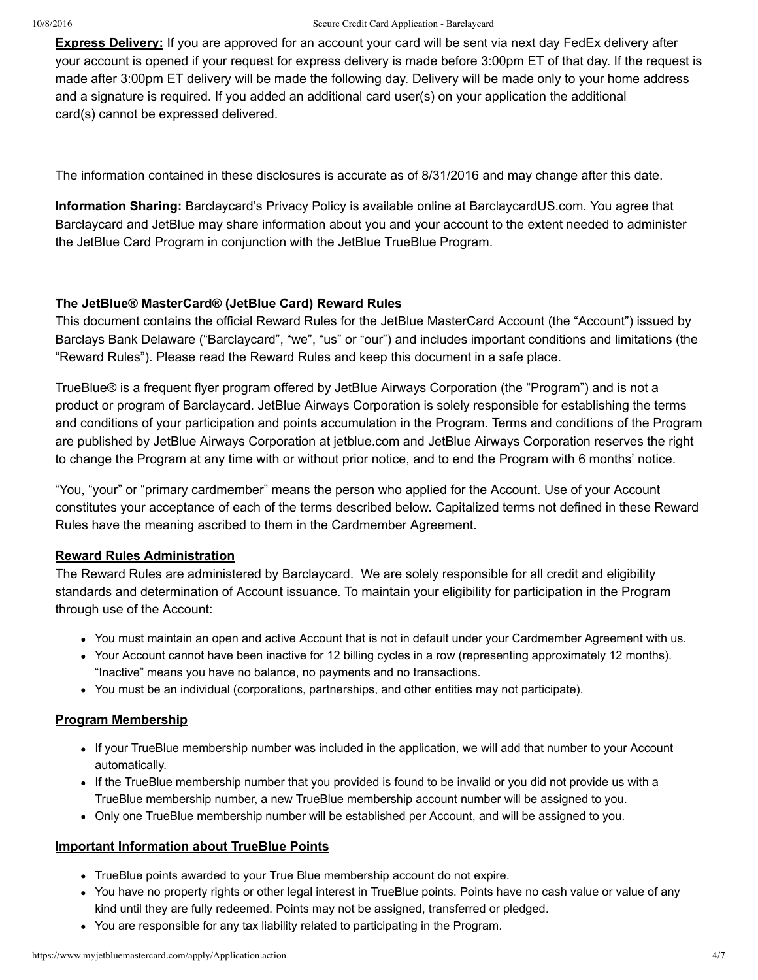#### 10/8/2016 Secure Credit Card Application - Barclaycard

**Express Delivery:** If you are approved for an account your card will be sent via next day FedEx delivery after your account is opened if your request for express delivery is made before 3:00pm ET of that day. If the request is made after 3:00pm ET delivery will be made the following day. Delivery will be made only to your home address and a signature is required. If you added an additional card user(s) on your application the additional card(s) cannot be expressed delivered.

The information contained in these disclosures is accurate as of 8/31/2016 and may change after this date.

**Information Sharing:** Barclaycard's Privacy Policy is available online at BarclaycardUS.com. You agree that Barclaycard and JetBlue may share information about you and your account to the extent needed to administer the JetBlue Card Program in conjunction with the JetBlue TrueBlue Program.

# **The JetBlue® MasterCard® (JetBlue Card) Reward Rules**

This document contains the official Reward Rules for the JetBlue MasterCard Account (the "Account") issued by Barclays Bank Delaware ("Barclaycard", "we", "us" or "our") and includes important conditions and limitations (the "Reward Rules"). Please read the Reward Rules and keep this document in a safe place.

TrueBlue® is a frequent flyer program offered by JetBlue Airways Corporation (the "Program") and is not a product or program of Barclaycard. JetBlue Airways Corporation is solely responsible for establishing the terms and conditions of your participation and points accumulation in the Program. Terms and conditions of the Program are published by JetBlue Airways Corporation at jetblue.com and JetBlue Airways Corporation reserves the right to change the Program at any time with or without prior notice, and to end the Program with 6 months' notice.

"You, "your" or "primary cardmember" means the person who applied for the Account. Use of your Account constitutes your acceptance of each of the terms described below. Capitalized terms not defined in these Reward Rules have the meaning ascribed to them in the Cardmember Agreement.

# **Reward Rules Administration**

The Reward Rules are administered by Barclaycard. We are solely responsible for all credit and eligibility standards and determination of Account issuance. To maintain your eligibility for participation in the Program through use of the Account:

- You must maintain an open and active Account that is not in default under your Cardmember Agreement with us.
- Your Account cannot have been inactive for 12 billing cycles in a row (representing approximately 12 months). "Inactive" means you have no balance, no payments and no transactions.
- You must be an individual (corporations, partnerships, and other entities may not participate).

# **Program Membership**

- If your TrueBlue membership number was included in the application, we will add that number to your Account automatically.
- If the TrueBlue membership number that you provided is found to be invalid or you did not provide us with a TrueBlue membership number, a new TrueBlue membership account number will be assigned to you.
- Only one TrueBlue membership number will be established per Account, and will be assigned to you.

### **Important Information about TrueBlue Points**

- TrueBlue points awarded to your True Blue membership account do not expire.
- You have no property rights or other legal interest in TrueBlue points. Points have no cash value or value of any kind until they are fully redeemed. Points may not be assigned, transferred or pledged.
- You are responsible for any tax liability related to participating in the Program.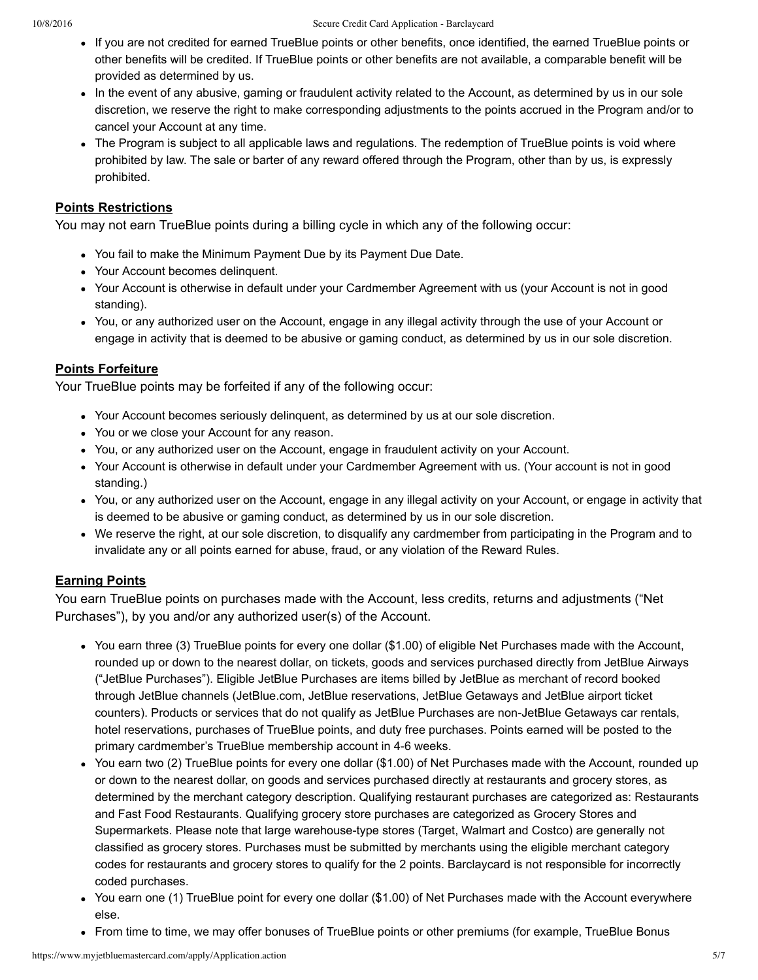- If you are not credited for earned TrueBlue points or other benefits, once identified, the earned TrueBlue points or other benefits will be credited. If TrueBlue points or other benefits are not available, a comparable benefit will be provided as determined by us.
- In the event of any abusive, gaming or fraudulent activity related to the Account, as determined by us in our sole discretion, we reserve the right to make corresponding adjustments to the points accrued in the Program and/or to cancel your Account at any time.
- The Program is subject to all applicable laws and regulations. The redemption of TrueBlue points is void where prohibited by law. The sale or barter of any reward offered through the Program, other than by us, is expressly prohibited.

# **Points Restrictions**

You may not earn TrueBlue points during a billing cycle in which any of the following occur:

- You fail to make the Minimum Payment Due by its Payment Due Date.
- Your Account becomes delinquent.
- Your Account is otherwise in default under your Cardmember Agreement with us (your Account is not in good standing).
- You, or any authorized user on the Account, engage in any illegal activity through the use of your Account or engage in activity that is deemed to be abusive or gaming conduct, as determined by us in our sole discretion.

# **Points Forfeiture**

Your TrueBlue points may be forfeited if any of the following occur:

- Your Account becomes seriously delinquent, as determined by us at our sole discretion.
- You or we close your Account for any reason.
- You, or any authorized user on the Account, engage in fraudulent activity on your Account.
- Your Account is otherwise in default under your Cardmember Agreement with us. (Your account is not in good standing.)
- You, or any authorized user on the Account, engage in any illegal activity on your Account, or engage in activity that is deemed to be abusive or gaming conduct, as determined by us in our sole discretion.
- We reserve the right, at our sole discretion, to disqualify any cardmember from participating in the Program and to invalidate any or all points earned for abuse, fraud, or any violation of the Reward Rules.

# **Earning Points**

You earn TrueBlue points on purchases made with the Account, less credits, returns and adjustments ("Net Purchases"), by you and/or any authorized user(s) of the Account.

- You earn three (3) TrueBlue points for every one dollar (\$1.00) of eligible Net Purchases made with the Account, rounded up or down to the nearest dollar, on tickets, goods and services purchased directly from JetBlue Airways ("JetBlue Purchases"). Eligible JetBlue Purchases are items billed by JetBlue as merchant of record booked through JetBlue channels (JetBlue.com, JetBlue reservations, JetBlue Getaways and JetBlue airport ticket counters). Products or services that do not qualify as JetBlue Purchases are non-JetBlue Getaways car rentals, hotel reservations, purchases of TrueBlue points, and duty free purchases. Points earned will be posted to the primary cardmember's TrueBlue membership account in 4-6 weeks.
- You earn two (2) TrueBlue points for every one dollar (\$1.00) of Net Purchases made with the Account, rounded up or down to the nearest dollar, on goods and services purchased directly at restaurants and grocery stores, as determined by the merchant category description. Qualifying restaurant purchases are categorized as: Restaurants and Fast Food Restaurants. Qualifying grocery store purchases are categorized as Grocery Stores and Supermarkets. Please note that large warehouse-type stores (Target, Walmart and Costco) are generally not classified as grocery stores. Purchases must be submitted by merchants using the eligible merchant category codes for restaurants and grocery stores to qualify for the 2 points. Barclaycard is not responsible for incorrectly coded purchases.
- You earn one (1) TrueBlue point for every one dollar (\$1.00) of Net Purchases made with the Account everywhere else.
- From time to time, we may offer bonuses of TrueBlue points or other premiums (for example, TrueBlue Bonus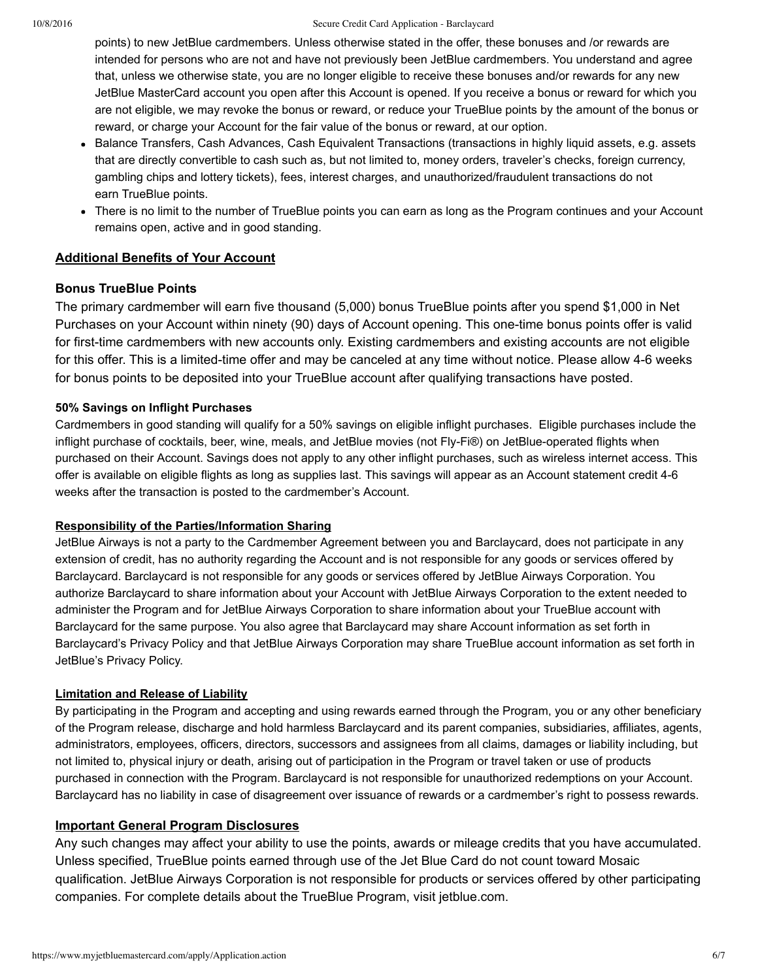#### 10/8/2016 Secure Credit Card Application - Barclaycard

points) to new JetBlue cardmembers. Unless otherwise stated in the offer, these bonuses and /or rewards are intended for persons who are not and have not previously been JetBlue cardmembers. You understand and agree that, unless we otherwise state, you are no longer eligible to receive these bonuses and/or rewards for any new JetBlue MasterCard account you open after this Account is opened. If you receive a bonus or reward for which you are not eligible, we may revoke the bonus or reward, or reduce your TrueBlue points by the amount of the bonus or reward, or charge your Account for the fair value of the bonus or reward, at our option.

- Balance Transfers, Cash Advances, Cash Equivalent Transactions (transactions in highly liquid assets, e.g. assets that are directly convertible to cash such as, but not limited to, money orders, traveler's checks, foreign currency, gambling chips and lottery tickets), fees, interest charges, and unauthorized/fraudulent transactions do not earn TrueBlue points.
- There is no limit to the number of TrueBlue points you can earn as long as the Program continues and your Account remains open, active and in good standing.

# **Additional Benefits of Your Account**

### **Bonus TrueBlue Points**

The primary cardmember will earn five thousand (5,000) bonus TrueBlue points after you spend \$1,000 in Net Purchases on your Account within ninety (90) days of Account opening. This one-time bonus points offer is valid for first-time cardmembers with new accounts only. Existing cardmembers and existing accounts are not eligible for this offer. This is a limited-time offer and may be canceled at any time without notice. Please allow 4-6 weeks for bonus points to be deposited into your TrueBlue account after qualifying transactions have posted.

### **50% Savings on Inflight Purchases**

Cardmembers in good standing will qualify for a 50% savings on eligible inflight purchases. Eligible purchases include the inflight purchase of cocktails, beer, wine, meals, and JetBlue movies (not Fly-Fi®) on JetBlue-operated flights when purchased on their Account. Savings does not apply to any other inflight purchases, such as wireless internet access. This offer is available on eligible flights as long as supplies last. This savings will appear as an Account statement credit 46 weeks after the transaction is posted to the cardmember's Account.

### **Responsibility of the Parties/Information Sharing**

JetBlue Airways is not a party to the Cardmember Agreement between you and Barclaycard, does not participate in any extension of credit, has no authority regarding the Account and is not responsible for any goods or services offered by Barclaycard. Barclaycard is not responsible for any goods or services offered by JetBlue Airways Corporation. You authorize Barclaycard to share information about your Account with JetBlue Airways Corporation to the extent needed to administer the Program and for JetBlue Airways Corporation to share information about your TrueBlue account with Barclaycard for the same purpose. You also agree that Barclaycard may share Account information as set forth in Barclaycard's Privacy Policy and that JetBlue Airways Corporation may share TrueBlue account information as set forth in JetBlue's Privacy Policy.

### **Limitation and Release of Liability**

By participating in the Program and accepting and using rewards earned through the Program, you or any other beneficiary of the Program release, discharge and hold harmless Barclaycard and its parent companies, subsidiaries, affiliates, agents, administrators, employees, officers, directors, successors and assignees from all claims, damages or liability including, but not limited to, physical injury or death, arising out of participation in the Program or travel taken or use of products purchased in connection with the Program. Barclaycard is not responsible for unauthorized redemptions on your Account. Barclaycard has no liability in case of disagreement over issuance of rewards or a cardmember's right to possess rewards.

## **Important General Program Disclosures**

Any such changes may affect your ability to use the points, awards or mileage credits that you have accumulated. Unless specified, TrueBlue points earned through use of the Jet Blue Card do not count toward Mosaic qualification. JetBlue Airways Corporation is not responsible for products or services offered by other participating companies. For complete details about the TrueBlue Program, visit jetblue.com.